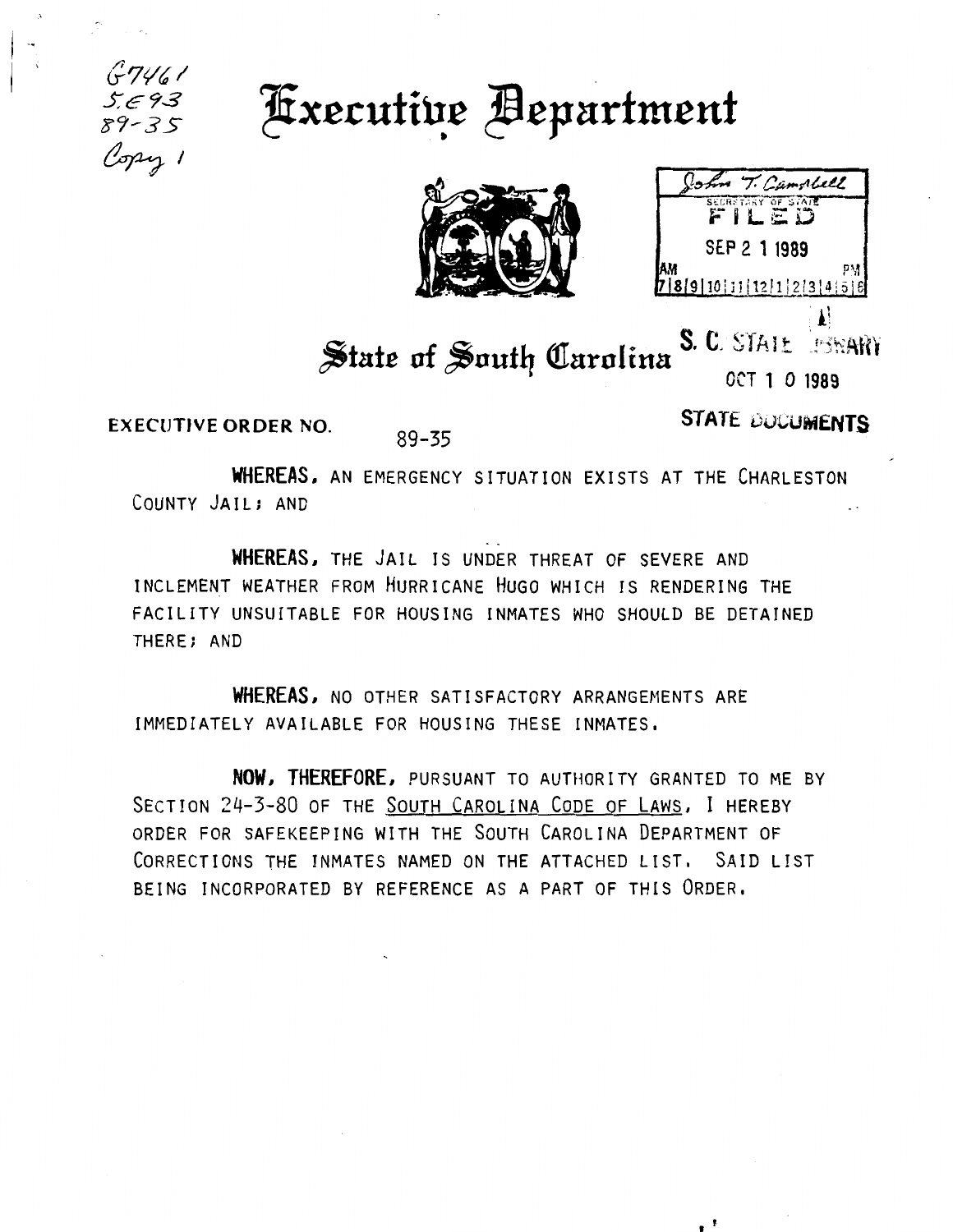





## S. C. STAIL **BRARY** State of South Carolina **OCT 1 0 1989**

**EXECUTIVE ORDER NO.** 

89-35

Copy 1

 $89 - 35$ 

**STATE DOCUMENTS** 

 $\sim$  1

WHEREAS, AN EMERGENCY SITUATION EXISTS AT THE CHARLESTON COUNTY JAIL; AND

WHEREAS, THE JAIL IS UNDER THREAT OF SEVERE AND INCLEMENT WEATHER FROM HURRICANE HUGO WHICH IS RENDERING THE FACILITY UNSUITABLE FOR HOUSING INMATES WHO SHOULD BE DETAINED THERE; AND

WHEREAS, NO OTHER SATISFACTORY ARRANGEMENTS ARE IMMEDIATELY AVAILABLE FOR HOUSING THESE INMATES.

NOW, THEREFORE, PURSUANT TO AUTHORITY GRANTED TO ME BY SECTION 24-3-80 OF THE SOUTH CAROLINA CODE OF LAWS, I HEREBY ORDER FOR SAFEKEEPING WITH THE SOUTH CAROLINA DEPARTMENT OF CORRECTIONS THE INMATES NAMED ON THE ATTACHED LIST. SAID LIST BEING INCORPORATED BY REFERENCE AS A PART OF THIS ORDER.